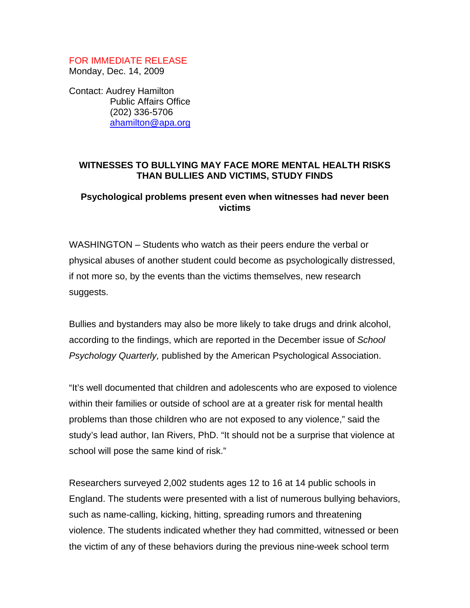## FOR IMMEDIATE RELEASE Monday, Dec. 14, 2009

Contact: Audrey Hamilton Public Affairs Office (202) 336-5706 ahamilton@apa.org

## **WITNESSES TO BULLYING MAY FACE MORE MENTAL HEALTH RISKS THAN BULLIES AND VICTIMS, STUDY FINDS**

## **Psychological problems present even when witnesses had never been victims**

WASHINGTON – Students who watch as their peers endure the verbal or physical abuses of another student could become as psychologically distressed, if not more so, by the events than the victims themselves, new research suggests.

Bullies and bystanders may also be more likely to take drugs and drink alcohol, according to the findings, which are reported in the December issue of *School Psychology Quarterly,* published by the American Psychological Association.

"It's well documented that children and adolescents who are exposed to violence within their families or outside of school are at a greater risk for mental health problems than those children who are not exposed to any violence," said the study's lead author, Ian Rivers, PhD. "It should not be a surprise that violence at school will pose the same kind of risk."

Researchers surveyed 2,002 students ages 12 to 16 at 14 public schools in England. The students were presented with a list of numerous bullying behaviors, such as name-calling, kicking, hitting, spreading rumors and threatening violence. The students indicated whether they had committed, witnessed or been the victim of any of these behaviors during the previous nine-week school term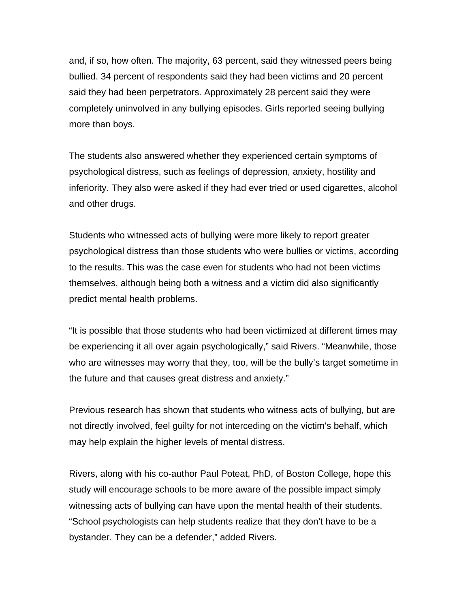and, if so, how often. The majority, 63 percent, said they witnessed peers being bullied. 34 percent of respondents said they had been victims and 20 percent said they had been perpetrators. Approximately 28 percent said they were completely uninvolved in any bullying episodes. Girls reported seeing bullying more than boys.

The students also answered whether they experienced certain symptoms of psychological distress, such as feelings of depression, anxiety, hostility and inferiority. They also were asked if they had ever tried or used cigarettes, alcohol and other drugs.

Students who witnessed acts of bullying were more likely to report greater psychological distress than those students who were bullies or victims, according to the results. This was the case even for students who had not been victims themselves, although being both a witness and a victim did also significantly predict mental health problems.

"It is possible that those students who had been victimized at different times may be experiencing it all over again psychologically," said Rivers. "Meanwhile, those who are witnesses may worry that they, too, will be the bully's target sometime in the future and that causes great distress and anxiety."

Previous research has shown that students who witness acts of bullying, but are not directly involved, feel guilty for not interceding on the victim's behalf, which may help explain the higher levels of mental distress.

Rivers, along with his co-author Paul Poteat, PhD, of Boston College, hope this study will encourage schools to be more aware of the possible impact simply witnessing acts of bullying can have upon the mental health of their students. "School psychologists can help students realize that they don't have to be a bystander. They can be a defender," added Rivers.